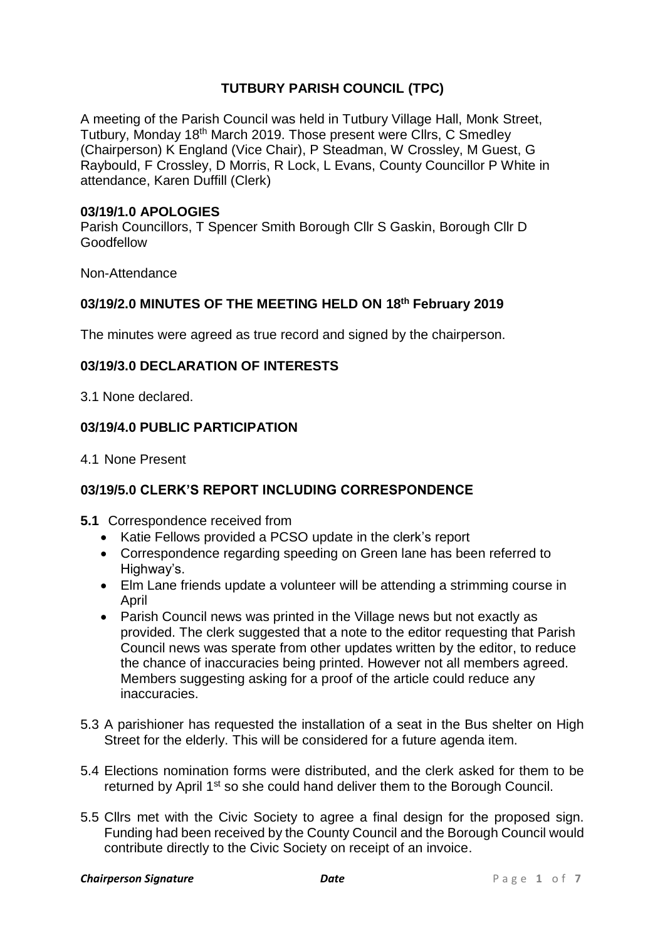# **TUTBURY PARISH COUNCIL (TPC)**

A meeting of the Parish Council was held in Tutbury Village Hall, Monk Street, Tutbury, Monday 18th March 2019. Those present were Cllrs, C Smedley (Chairperson) K England (Vice Chair), P Steadman, W Crossley, M Guest, G Raybould, F Crossley, D Morris, R Lock, L Evans, County Councillor P White in attendance, Karen Duffill (Clerk)

#### **03/19/1.0 APOLOGIES**

Parish Councillors, T Spencer Smith Borough Cllr S Gaskin, Borough Cllr D Goodfellow

Non-Attendance

#### **03/19/2.0 MINUTES OF THE MEETING HELD ON 18th February 2019**

The minutes were agreed as true record and signed by the chairperson.

#### **03/19/3.0 DECLARATION OF INTERESTS**

3.1 None declared.

#### **03/19/4.0 PUBLIC PARTICIPATION**

4.1 None Present

#### **03/19/5.0 CLERK'S REPORT INCLUDING CORRESPONDENCE**

- **5.1** Correspondence received from
	- Katie Fellows provided a PCSO update in the clerk's report
	- Correspondence regarding speeding on Green lane has been referred to Highway's.
	- Elm Lane friends update a volunteer will be attending a strimming course in April
	- Parish Council news was printed in the Village news but not exactly as provided. The clerk suggested that a note to the editor requesting that Parish Council news was sperate from other updates written by the editor, to reduce the chance of inaccuracies being printed. However not all members agreed. Members suggesting asking for a proof of the article could reduce any inaccuracies.
- 5.3 A parishioner has requested the installation of a seat in the Bus shelter on High Street for the elderly. This will be considered for a future agenda item.
- 5.4 Elections nomination forms were distributed, and the clerk asked for them to be returned by April 1<sup>st</sup> so she could hand deliver them to the Borough Council.
- 5.5 Cllrs met with the Civic Society to agree a final design for the proposed sign. Funding had been received by the County Council and the Borough Council would contribute directly to the Civic Society on receipt of an invoice.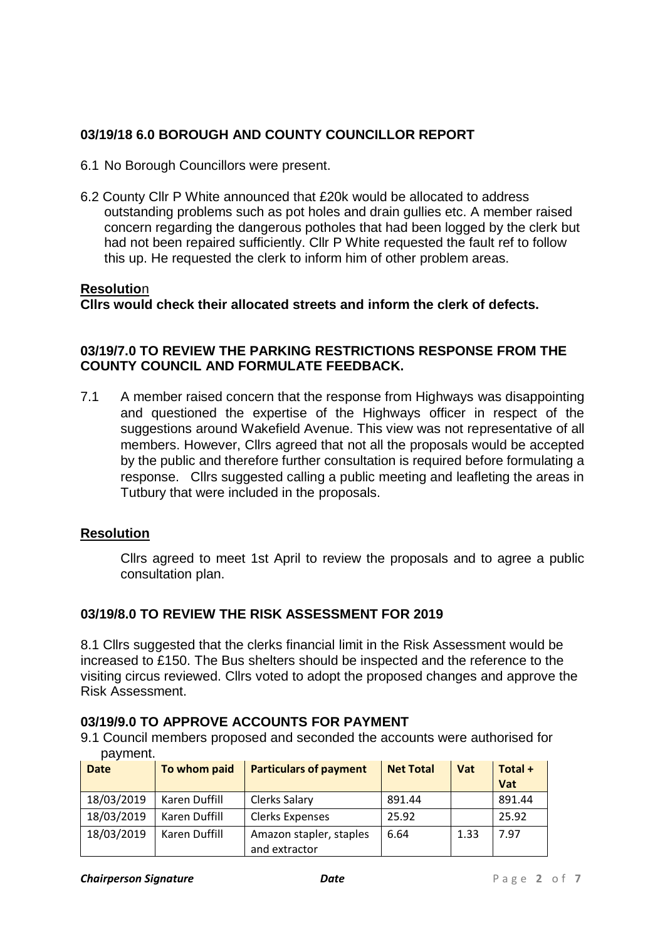# **03/19/18 6.0 BOROUGH AND COUNTY COUNCILLOR REPORT**

- 6.1 No Borough Councillors were present.
- 6.2 County Cllr P White announced that £20k would be allocated to address outstanding problems such as pot holes and drain gullies etc. A member raised concern regarding the dangerous potholes that had been logged by the clerk but had not been repaired sufficiently. Cllr P White requested the fault ref to follow this up. He requested the clerk to inform him of other problem areas.

#### **Resolutio**n

**Cllrs would check their allocated streets and inform the clerk of defects.**

### **03/19/7.0 TO REVIEW THE PARKING RESTRICTIONS RESPONSE FROM THE COUNTY COUNCIL AND FORMULATE FEEDBACK.**

7.1 A member raised concern that the response from Highways was disappointing and questioned the expertise of the Highways officer in respect of the suggestions around Wakefield Avenue. This view was not representative of all members. However, Cllrs agreed that not all the proposals would be accepted by the public and therefore further consultation is required before formulating a response. Cllrs suggested calling a public meeting and leafleting the areas in Tutbury that were included in the proposals.

#### **Resolution**

Cllrs agreed to meet 1st April to review the proposals and to agree a public consultation plan.

# **03/19/8.0 TO REVIEW THE RISK ASSESSMENT FOR 2019**

8.1 Cllrs suggested that the clerks financial limit in the Risk Assessment would be increased to £150. The Bus shelters should be inspected and the reference to the visiting circus reviewed. Cllrs voted to adopt the proposed changes and approve the Risk Assessment.

# **03/19/9.0 TO APPROVE ACCOUNTS FOR PAYMENT**

9.1 Council members proposed and seconded the accounts were authorised for payment.

| <b>Date</b> | To whom paid  | <b>Particulars of payment</b>            | <b>Net Total</b> | Vat  | Total +<br>Vat |
|-------------|---------------|------------------------------------------|------------------|------|----------------|
| 18/03/2019  | Karen Duffill | Clerks Salary                            | 891.44           |      | 891.44         |
| 18/03/2019  | Karen Duffill | <b>Clerks Expenses</b>                   | 25.92            |      | 25.92          |
| 18/03/2019  | Karen Duffill | Amazon stapler, staples<br>and extractor | 6.64             | 1.33 | 7.97           |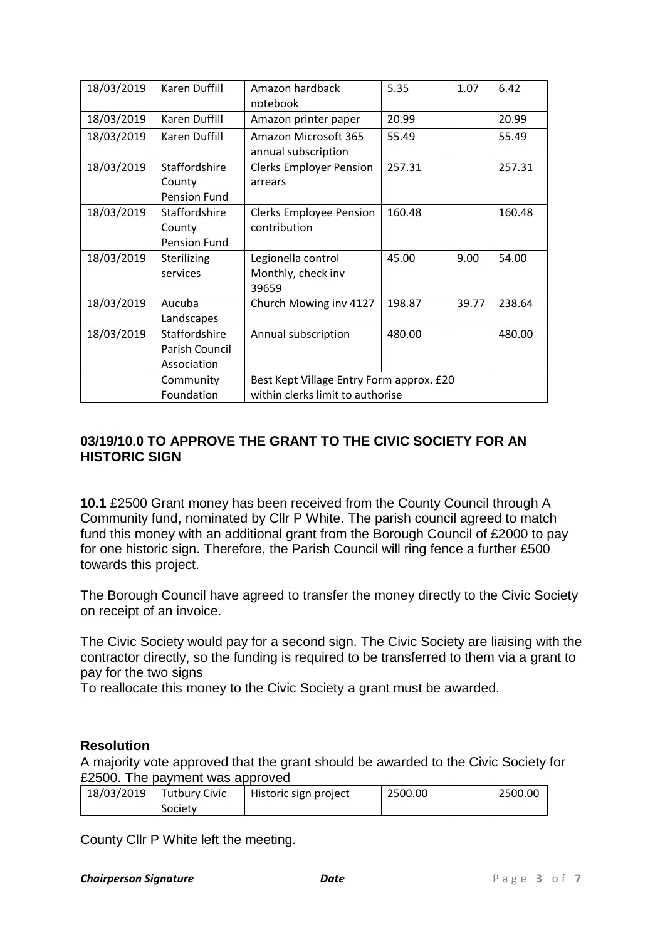| 18/03/2019 | <b>Karen Duffill</b> | Amazon hardback<br>notebook                 | 5.35                             | 1.07  | 6.42   |
|------------|----------------------|---------------------------------------------|----------------------------------|-------|--------|
| 18/03/2019 | Karen Duffill        | Amazon printer paper                        | 20.99                            |       | 20.99  |
| 18/03/2019 | Karen Duffill        | Amazon Microsoft 365<br>annual subscription | 55.49                            |       | 55.49  |
| 18/03/2019 | Staffordshire        | <b>Clerks Employer Pension</b>              | 257.31                           |       | 257.31 |
|            | County               | arrears                                     |                                  |       |        |
|            | Pension Fund         |                                             |                                  |       |        |
| 18/03/2019 | Staffordshire        | <b>Clerks Employee Pension</b>              | 160.48                           |       | 160.48 |
|            | County               | contribution                                |                                  |       |        |
|            | Pension Fund         |                                             |                                  |       |        |
| 18/03/2019 | Sterilizing          | Legionella control                          | 45.00                            | 9.00  | 54.00  |
|            | services             | Monthly, check inv                          |                                  |       |        |
|            |                      | 39659                                       |                                  |       |        |
| 18/03/2019 | Aucuba               | Church Mowing inv 4127                      | 198.87                           | 39.77 | 238.64 |
|            | Landscapes           |                                             |                                  |       |        |
| 18/03/2019 | Staffordshire        | Annual subscription                         | 480.00                           |       | 480.00 |
|            | Parish Council       |                                             |                                  |       |        |
|            | Association          |                                             |                                  |       |        |
|            | Community            | Best Kept Village Entry Form approx. £20    |                                  |       |        |
|            | Foundation           |                                             | within clerks limit to authorise |       |        |

### **03/19/10.0 TO APPROVE THE GRANT TO THE CIVIC SOCIETY FOR AN HISTORIC SIGN**

**10.1** £2500 Grant money has been received from the County Council through A Community fund, nominated by Cllr P White. The parish council agreed to match fund this money with an additional grant from the Borough Council of £2000 to pay for one historic sign. Therefore, the Parish Council will ring fence a further £500 towards this project.

The Borough Council have agreed to transfer the money directly to the Civic Society on receipt of an invoice.

The Civic Society would pay for a second sign. The Civic Society are liaising with the contractor directly, so the funding is required to be transferred to them via a grant to pay for the two signs

To reallocate this money to the Civic Society a grant must be awarded.

#### **Resolution**

A majority vote approved that the grant should be awarded to the Civic Society for £2500. The payment was approved

| 18/03/2019 | <b>Tutbury Civic</b> | Historic sign project | 2500.00 | 2500.00 |
|------------|----------------------|-----------------------|---------|---------|
|            |                      |                       |         |         |
|            | Society              |                       |         |         |

County Cllr P White left the meeting.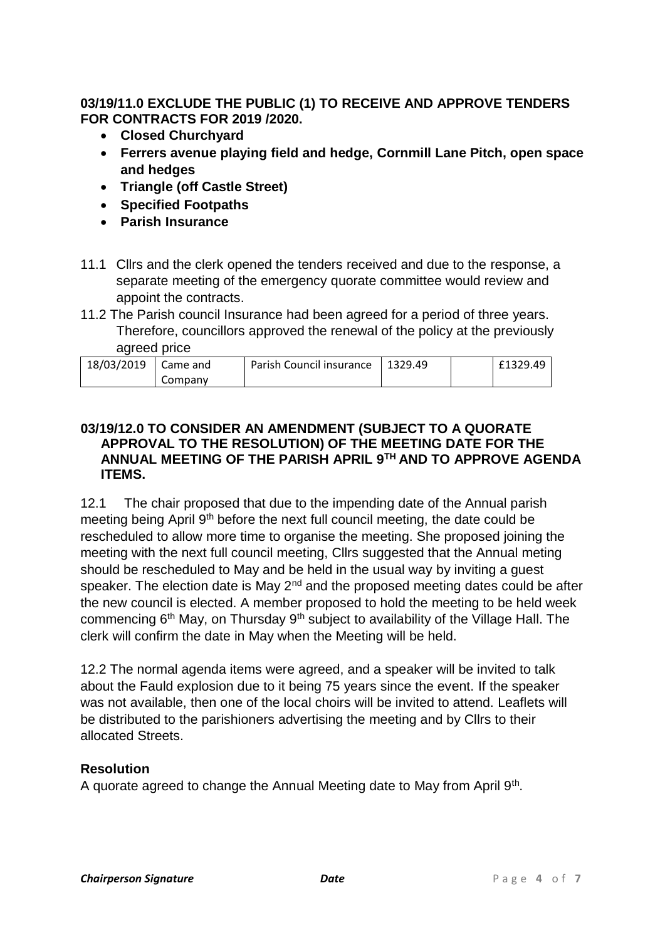### **03/19/11.0 EXCLUDE THE PUBLIC (1) TO RECEIVE AND APPROVE TENDERS FOR CONTRACTS FOR 2019 /2020.**

- **Closed Churchyard**
- **Ferrers avenue playing field and hedge, Cornmill Lane Pitch, open space and hedges**
- **Triangle (off Castle Street)**
- **Specified Footpaths**
- **Parish Insurance**
- 11.1 Cllrs and the clerk opened the tenders received and due to the response, a separate meeting of the emergency quorate committee would review and appoint the contracts.
- 11.2 The Parish council Insurance had been agreed for a period of three years. Therefore, councillors approved the renewal of the policy at the previously agreed price

| 18/03/2019 | Came and | Parish Council insurance   1329.49 |  | £1329.49 |
|------------|----------|------------------------------------|--|----------|
|            | Company  |                                    |  |          |

### **03/19/12.0 TO CONSIDER AN AMENDMENT (SUBJECT TO A QUORATE APPROVAL TO THE RESOLUTION) OF THE MEETING DATE FOR THE ANNUAL MEETING OF THE PARISH APRIL 9TH AND TO APPROVE AGENDA ITEMS.**

12.1 The chair proposed that due to the impending date of the Annual parish meeting being April 9<sup>th</sup> before the next full council meeting, the date could be rescheduled to allow more time to organise the meeting. She proposed joining the meeting with the next full council meeting, Cllrs suggested that the Annual meting should be rescheduled to May and be held in the usual way by inviting a guest speaker. The election date is May  $2^{nd}$  and the proposed meeting dates could be after the new council is elected. A member proposed to hold the meeting to be held week commencing 6<sup>th</sup> May, on Thursday 9<sup>th</sup> subject to availability of the Village Hall. The clerk will confirm the date in May when the Meeting will be held.

12.2 The normal agenda items were agreed, and a speaker will be invited to talk about the Fauld explosion due to it being 75 years since the event. If the speaker was not available, then one of the local choirs will be invited to attend. Leaflets will be distributed to the parishioners advertising the meeting and by Cllrs to their allocated Streets.

# **Resolution**

A quorate agreed to change the Annual Meeting date to May from April 9<sup>th</sup>.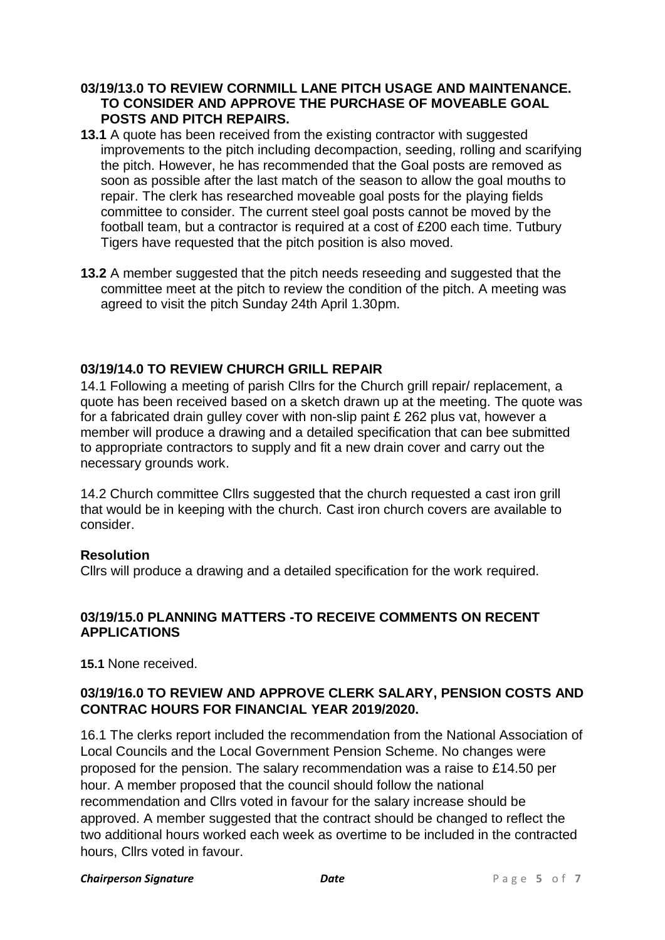### **03/19/13.0 TO REVIEW CORNMILL LANE PITCH USAGE AND MAINTENANCE. TO CONSIDER AND APPROVE THE PURCHASE OF MOVEABLE GOAL POSTS AND PITCH REPAIRS.**

- **13.1** A quote has been received from the existing contractor with suggested improvements to the pitch including decompaction, seeding, rolling and scarifying the pitch. However, he has recommended that the Goal posts are removed as soon as possible after the last match of the season to allow the goal mouths to repair. The clerk has researched moveable goal posts for the playing fields committee to consider. The current steel goal posts cannot be moved by the football team, but a contractor is required at a cost of £200 each time. Tutbury Tigers have requested that the pitch position is also moved.
- **13.2** A member suggested that the pitch needs reseeding and suggested that the committee meet at the pitch to review the condition of the pitch. A meeting was agreed to visit the pitch Sunday 24th April 1.30pm.

### **03/19/14.0 TO REVIEW CHURCH GRILL REPAIR**

14.1 Following a meeting of parish Cllrs for the Church grill repair/ replacement, a quote has been received based on a sketch drawn up at the meeting. The quote was for a fabricated drain gulley cover with non-slip paint £ 262 plus vat, however a member will produce a drawing and a detailed specification that can bee submitted to appropriate contractors to supply and fit a new drain cover and carry out the necessary grounds work.

14.2 Church committee Cllrs suggested that the church requested a cast iron grill that would be in keeping with the church. Cast iron church covers are available to consider.

#### **Resolution**

Cllrs will produce a drawing and a detailed specification for the work required.

### **03/19/15.0 PLANNING MATTERS -TO RECEIVE COMMENTS ON RECENT APPLICATIONS**

**15.1** None received.

# **03/19/16.0 TO REVIEW AND APPROVE CLERK SALARY, PENSION COSTS AND CONTRAC HOURS FOR FINANCIAL YEAR 2019/2020.**

16.1 The clerks report included the recommendation from the National Association of Local Councils and the Local Government Pension Scheme. No changes were proposed for the pension. The salary recommendation was a raise to £14.50 per hour. A member proposed that the council should follow the national recommendation and Cllrs voted in favour for the salary increase should be approved. A member suggested that the contract should be changed to reflect the two additional hours worked each week as overtime to be included in the contracted hours, Cllrs voted in favour.

#### **Chairperson Signature** *Date Date Page 5 of 7*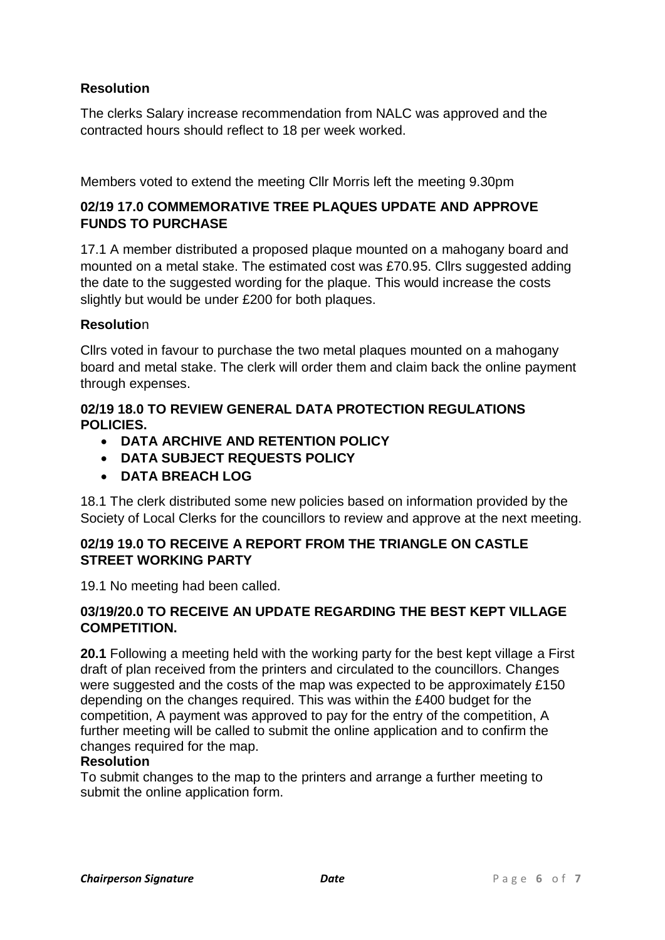# **Resolution**

The clerks Salary increase recommendation from NALC was approved and the contracted hours should reflect to 18 per week worked.

Members voted to extend the meeting Cllr Morris left the meeting 9.30pm

# **02/19 17.0 COMMEMORATIVE TREE PLAQUES UPDATE AND APPROVE FUNDS TO PURCHASE**

17.1 A member distributed a proposed plaque mounted on a mahogany board and mounted on a metal stake. The estimated cost was £70.95. Cllrs suggested adding the date to the suggested wording for the plaque. This would increase the costs slightly but would be under £200 for both plaques.

### **Resolutio**n

Cllrs voted in favour to purchase the two metal plaques mounted on a mahogany board and metal stake. The clerk will order them and claim back the online payment through expenses.

### **02/19 18.0 TO REVIEW GENERAL DATA PROTECTION REGULATIONS POLICIES.**

- **DATA ARCHIVE AND RETENTION POLICY**
- **DATA SUBJECT REQUESTS POLICY**
- **DATA BREACH LOG**

18.1 The clerk distributed some new policies based on information provided by the Society of Local Clerks for the councillors to review and approve at the next meeting.

# **02/19 19.0 TO RECEIVE A REPORT FROM THE TRIANGLE ON CASTLE STREET WORKING PARTY**

19.1 No meeting had been called.

# **03/19/20.0 TO RECEIVE AN UPDATE REGARDING THE BEST KEPT VILLAGE COMPETITION.**

**20.1** Following a meeting held with the working party for the best kept village a First draft of plan received from the printers and circulated to the councillors. Changes were suggested and the costs of the map was expected to be approximately £150 depending on the changes required. This was within the £400 budget for the competition, A payment was approved to pay for the entry of the competition, A further meeting will be called to submit the online application and to confirm the changes required for the map.

# **Resolution**

To submit changes to the map to the printers and arrange a further meeting to submit the online application form.